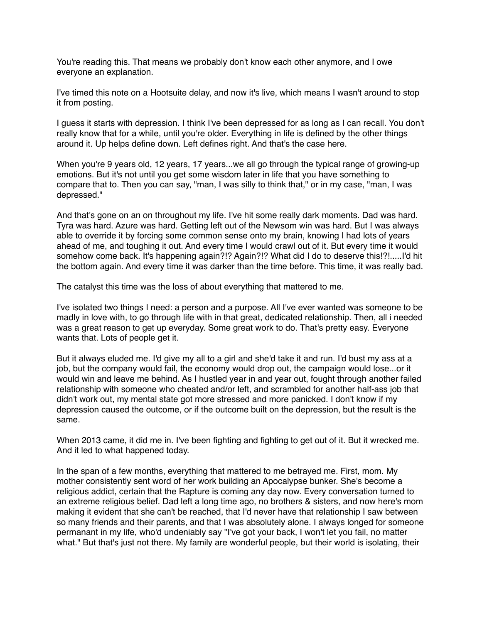You're reading this. That means we probably don't know each other anymore, and I owe everyone an explanation.

I've timed this note on a Hootsuite delay, and now it's live, which means I wasn't around to stop it from posting.

I guess it starts with depression. I think I've been depressed for as long as I can recall. You don't really know that for a while, until you're older. Everything in life is defined by the other things around it. Up helps define down. Left defines right. And that's the case here.

When you're 9 years old, 12 years, 17 years...we all go through the typical range of growing-up emotions. But it's not until you get some wisdom later in life that you have something to compare that to. Then you can say, "man, I was silly to think that," or in my case, "man, I was depressed."

And that's gone on an on throughout my life. I've hit some really dark moments. Dad was hard. Tyra was hard. Azure was hard. Getting left out of the Newsom win was hard. But I was always able to override it by forcing some common sense onto my brain, knowing I had lots of years ahead of me, and toughing it out. And every time I would crawl out of it. But every time it would somehow come back. It's happening again?!? Again?!? What did I do to deserve this!?!.....I'd hit the bottom again. And every time it was darker than the time before. This time, it was really bad.

The catalyst this time was the loss of about everything that mattered to me.

I've isolated two things I need: a person and a purpose. All I've ever wanted was someone to be madly in love with, to go through life with in that great, dedicated relationship. Then, all i needed was a great reason to get up everyday. Some great work to do. That's pretty easy. Everyone wants that. Lots of people get it.

But it always eluded me. I'd give my all to a girl and she'd take it and run. I'd bust my ass at a job, but the company would fail, the economy would drop out, the campaign would lose...or it would win and leave me behind. As I hustled year in and year out, fought through another failed relationship with someone who cheated and/or left, and scrambled for another half-ass job that didn't work out, my mental state got more stressed and more panicked. I don't know if my depression caused the outcome, or if the outcome built on the depression, but the result is the same.

When 2013 came, it did me in. I've been fighting and fighting to get out of it. But it wrecked me. And it led to what happened today.

In the span of a few months, everything that mattered to me betrayed me. First, mom. My mother consistently sent word of her work building an Apocalypse bunker. She's become a religious addict, certain that the Rapture is coming any day now. Every conversation turned to an extreme religious belief. Dad left a long time ago, no brothers & sisters, and now here's mom making it evident that she can't be reached, that I'd never have that relationship I saw between so many friends and their parents, and that I was absolutely alone. I always longed for someone permanant in my life, who'd undeniably say "I've got your back, I won't let you fail, no matter what." But that's just not there. My family are wonderful people, but their world is isolating, their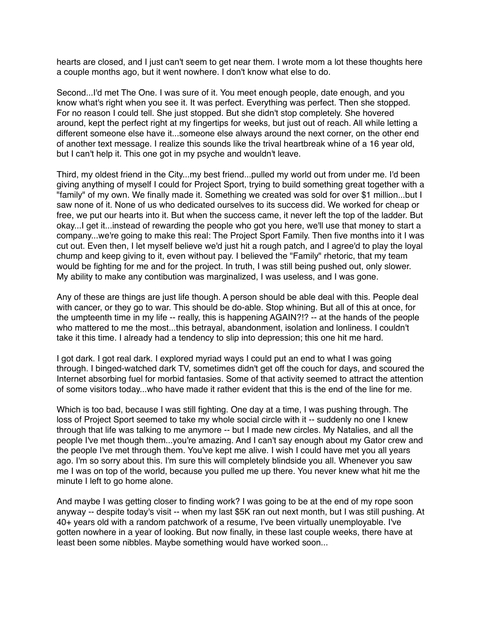hearts are closed, and I just can't seem to get near them. I wrote mom a lot these thoughts here a couple months ago, but it went nowhere. I don't know what else to do.

Second...I'd met The One. I was sure of it. You meet enough people, date enough, and you know what's right when you see it. It was perfect. Everything was perfect. Then she stopped. For no reason I could tell. She just stopped. But she didn't stop completely. She hovered around, kept the perfect right at my fingertips for weeks, but just out of reach. All while letting a different someone else have it...someone else always around the next corner, on the other end of another text message. I realize this sounds like the trival heartbreak whine of a 16 year old, but I can't help it. This one got in my psyche and wouldn't leave.

Third, my oldest friend in the City...my best friend...pulled my world out from under me. I'd been giving anything of myself I could for Project Sport, trying to build something great together with a "family" of my own. We finally made it. Something we created was sold for over \$1 million...but I saw none of it. None of us who dedicated ourselves to its success did. We worked for cheap or free, we put our hearts into it. But when the success came, it never left the top of the ladder. But okay...I get it...instead of rewarding the people who got you here, we'll use that money to start a company...we're going to make this real: The Project Sport Family. Then five months into it I was cut out. Even then, I let myself believe we'd just hit a rough patch, and I agree'd to play the loyal chump and keep giving to it, even without pay. I believed the "Family" rhetoric, that my team would be fighting for me and for the project. In truth, I was still being pushed out, only slower. My ability to make any contibution was marginalized, I was useless, and I was gone.

Any of these are things are just life though. A person should be able deal with this. People deal with cancer, or they go to war. This should be do-able. Stop whining. But all of this at once, for the umpteenth time in my life -- really, this is happening AGAIN?!? -- at the hands of the people who mattered to me the most...this betrayal, abandonment, isolation and lonliness. I couldn't take it this time. I already had a tendency to slip into depression; this one hit me hard.

I got dark. I got real dark. I explored myriad ways I could put an end to what I was going through. I binged-watched dark TV, sometimes didn't get off the couch for days, and scoured the Internet absorbing fuel for morbid fantasies. Some of that activity seemed to attract the attention of some visitors today...who have made it rather evident that this is the end of the line for me.

Which is too bad, because I was still fighting. One day at a time, I was pushing through. The loss of Project Sport seemed to take my whole social circle with it -- suddenly no one I knew through that life was talking to me anymore -- but I made new circles. My Natalies, and all the people I've met though them...you're amazing. And I can't say enough about my Gator crew and the people I've met through them. You've kept me alive. I wish I could have met you all years ago. I'm so sorry about this. I'm sure this will completely blindside you all. Whenever you saw me I was on top of the world, because you pulled me up there. You never knew what hit me the minute I left to go home alone.

And maybe I was getting closer to finding work? I was going to be at the end of my rope soon anyway -- despite today's visit -- when my last \$5K ran out next month, but I was still pushing. At 40+ years old with a random patchwork of a resume, I've been virtually unemployable. I've gotten nowhere in a year of looking. But now finally, in these last couple weeks, there have at least been some nibbles. Maybe something would have worked soon...